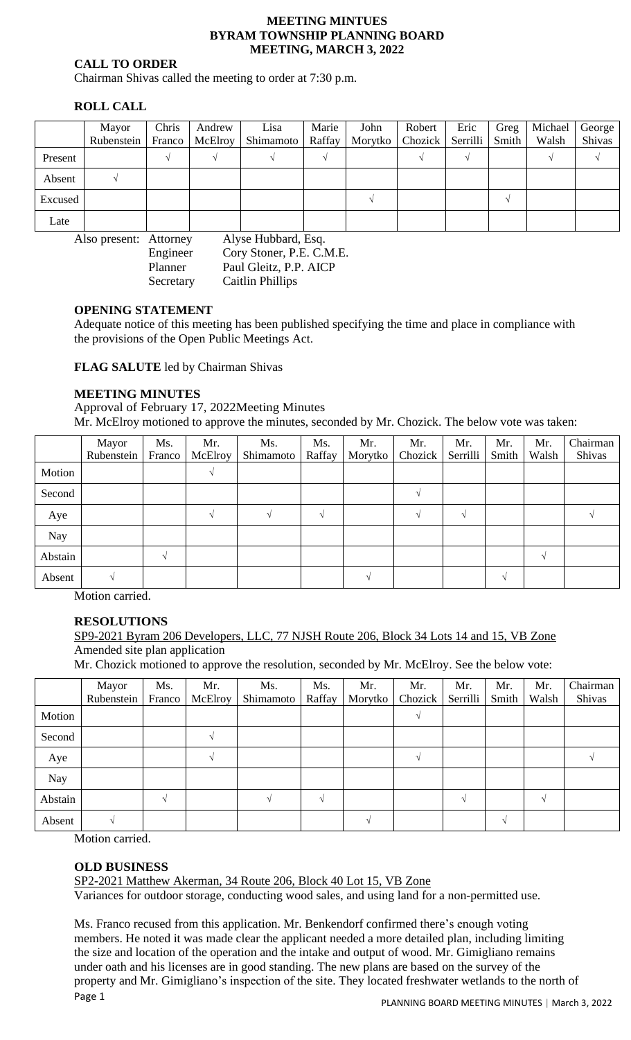#### **MEETING MINTUES BYRAM TOWNSHIP PLANNING BOARD MEETING, MARCH 3, 2022**

### **CALL TO ORDER**

Chairman Shivas called the meeting to order at 7:30 p.m.

# **ROLL CALL**

|         | Mayor      | Chris  | Andrew  | Lisa      | Marie  | John    | Robert             | Eric | Greg  | Michael | George |
|---------|------------|--------|---------|-----------|--------|---------|--------------------|------|-------|---------|--------|
|         | Rubenstein | Franco | McElroy | Shimamoto | Raffay | Morytko | Chozick   Serrilli |      | Smith | Walsh   | Shivas |
| Present |            |        |         |           |        |         |                    |      |       |         |        |
| Absent  |            |        |         |           |        |         |                    |      |       |         |        |
| Excused |            |        |         |           |        |         |                    |      |       |         |        |
| Late    |            |        |         |           |        |         |                    |      |       |         |        |

Also present: Attorney Alyse Hubbard, Esq. Engineer Cory Stoner, P.E. C.M.E. Planner Paul Gleitz, P.P. AICP Secretary Caitlin Phillips

### **OPENING STATEMENT**

Adequate notice of this meeting has been published specifying the time and place in compliance with the provisions of the Open Public Meetings Act.

**FLAG SALUTE** led by Chairman Shivas

### **MEETING MINUTES**

Approval of February 17, 2022Meeting Minutes Mr. McElroy motioned to approve the minutes, seconded by Mr. Chozick. The below vote was taken:

|         | Mayor      | Ms.           | Mr.     | Ms.       | Ms.           | Mr.     | Mr.     | Mr.      | Mr.   | Mr.    | Chairman |
|---------|------------|---------------|---------|-----------|---------------|---------|---------|----------|-------|--------|----------|
|         | Rubenstein | Franco        | McElroy | Shimamoto | Raffay        | Morytko | Chozick | Serrilli | Smith | Walsh  | Shivas   |
| Motion  |            |               |         |           |               |         |         |          |       |        |          |
| Second  |            |               |         |           |               |         |         |          |       |        |          |
| Aye     |            |               |         |           | $\mathcal{N}$ |         |         |          |       |        |          |
| Nay     |            |               |         |           |               |         |         |          |       |        |          |
| Abstain |            | $\mathcal{N}$ |         |           |               |         |         |          |       | $\sim$ |          |
| Absent  |            |               |         |           |               |         |         |          | N     |        |          |

Motion carried.

# **RESOLUTIONS**

SP9-2021 Byram 206 Developers, LLC, 77 NJSH Route 206, Block 34 Lots 14 and 15, VB Zone Amended site plan application

Mr. Chozick motioned to approve the resolution, seconded by Mr. McElroy. See the below vote:

|            | Mayor<br>Rubenstein | Ms.<br>Franco | Mr.<br>McElroy | Ms.<br>Shimamoto | Ms.<br>Raffay | Mr.<br>Morytko | Mr.<br>Chozick | Mr.<br>Serrilli | Mr.<br>Smith  | Mr.<br>Walsh | Chairman<br>Shivas |
|------------|---------------------|---------------|----------------|------------------|---------------|----------------|----------------|-----------------|---------------|--------------|--------------------|
| Motion     |                     |               |                |                  |               |                |                |                 |               |              |                    |
| Second     |                     |               |                |                  |               |                |                |                 |               |              |                    |
| Aye        |                     |               |                |                  |               |                |                |                 |               |              |                    |
| <b>Nay</b> |                     |               |                |                  |               |                |                |                 |               |              |                    |
| Abstain    |                     |               |                |                  | $\sim$        |                |                |                 |               | $\sqrt{ }$   |                    |
| Absent     |                     |               |                |                  |               |                |                |                 | $\mathcal{N}$ |              |                    |

Motion carried.

### **OLD BUSINESS**

SP2-2021 Matthew Akerman, 34 Route 206, Block 40 Lot 15, VB Zone

Variances for outdoor storage, conducting wood sales, and using land for a non-permitted use.

Page 1 Ms. Franco recused from this application. Mr. Benkendorf confirmed there's enough voting members. He noted it was made clear the applicant needed a more detailed plan, including limiting the size and location of the operation and the intake and output of wood. Mr. Gimigliano remains under oath and his licenses are in good standing. The new plans are based on the survey of the property and Mr. Gimigliano's inspection of the site. They located freshwater wetlands to the north of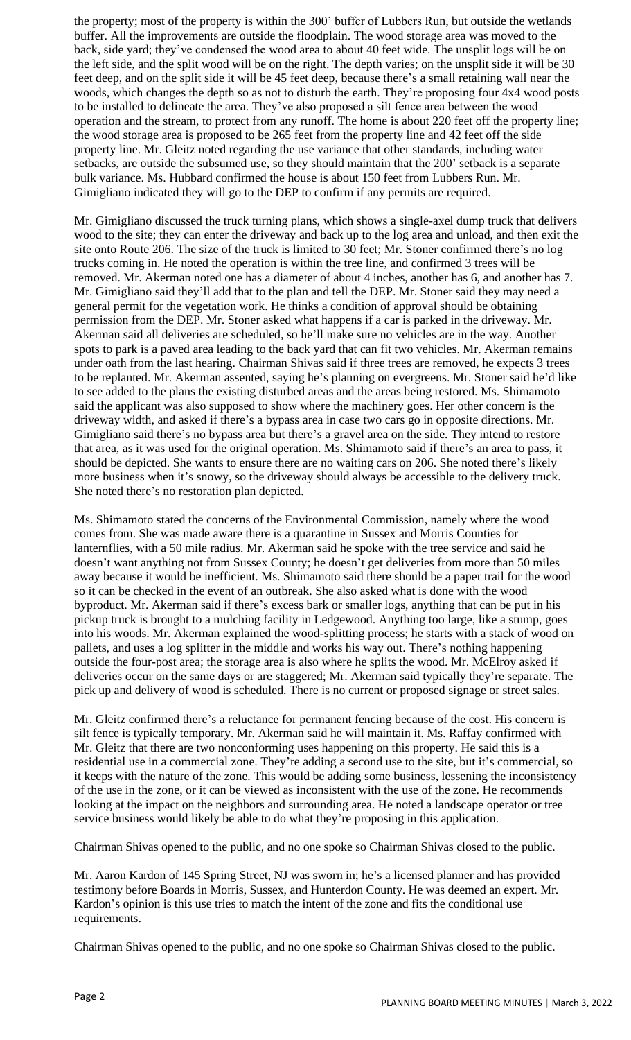the property; most of the property is within the 300' buffer of Lubbers Run, but outside the wetlands buffer. All the improvements are outside the floodplain. The wood storage area was moved to the back, side yard; they've condensed the wood area to about 40 feet wide. The unsplit logs will be on the left side, and the split wood will be on the right. The depth varies; on the unsplit side it will be 30 feet deep, and on the split side it will be 45 feet deep, because there's a small retaining wall near the woods, which changes the depth so as not to disturb the earth. They're proposing four 4x4 wood posts to be installed to delineate the area. They've also proposed a silt fence area between the wood operation and the stream, to protect from any runoff. The home is about 220 feet off the property line; the wood storage area is proposed to be 265 feet from the property line and 42 feet off the side property line. Mr. Gleitz noted regarding the use variance that other standards, including water setbacks, are outside the subsumed use, so they should maintain that the 200' setback is a separate bulk variance. Ms. Hubbard confirmed the house is about 150 feet from Lubbers Run. Mr. Gimigliano indicated they will go to the DEP to confirm if any permits are required.

Mr. Gimigliano discussed the truck turning plans, which shows a single-axel dump truck that delivers wood to the site; they can enter the driveway and back up to the log area and unload, and then exit the site onto Route 206. The size of the truck is limited to 30 feet; Mr. Stoner confirmed there's no log trucks coming in. He noted the operation is within the tree line, and confirmed 3 trees will be removed. Mr. Akerman noted one has a diameter of about 4 inches, another has 6, and another has 7. Mr. Gimigliano said they'll add that to the plan and tell the DEP. Mr. Stoner said they may need a general permit for the vegetation work. He thinks a condition of approval should be obtaining permission from the DEP. Mr. Stoner asked what happens if a car is parked in the driveway. Mr. Akerman said all deliveries are scheduled, so he'll make sure no vehicles are in the way. Another spots to park is a paved area leading to the back yard that can fit two vehicles. Mr. Akerman remains under oath from the last hearing. Chairman Shivas said if three trees are removed, he expects 3 trees to be replanted. Mr. Akerman assented, saying he's planning on evergreens. Mr. Stoner said he'd like to see added to the plans the existing disturbed areas and the areas being restored. Ms. Shimamoto said the applicant was also supposed to show where the machinery goes. Her other concern is the driveway width, and asked if there's a bypass area in case two cars go in opposite directions. Mr. Gimigliano said there's no bypass area but there's a gravel area on the side. They intend to restore that area, as it was used for the original operation. Ms. Shimamoto said if there's an area to pass, it should be depicted. She wants to ensure there are no waiting cars on 206. She noted there's likely more business when it's snowy, so the driveway should always be accessible to the delivery truck. She noted there's no restoration plan depicted.

Ms. Shimamoto stated the concerns of the Environmental Commission, namely where the wood comes from. She was made aware there is a quarantine in Sussex and Morris Counties for lanternflies, with a 50 mile radius. Mr. Akerman said he spoke with the tree service and said he doesn't want anything not from Sussex County; he doesn't get deliveries from more than 50 miles away because it would be inefficient. Ms. Shimamoto said there should be a paper trail for the wood so it can be checked in the event of an outbreak. She also asked what is done with the wood byproduct. Mr. Akerman said if there's excess bark or smaller logs, anything that can be put in his pickup truck is brought to a mulching facility in Ledgewood. Anything too large, like a stump, goes into his woods. Mr. Akerman explained the wood-splitting process; he starts with a stack of wood on pallets, and uses a log splitter in the middle and works his way out. There's nothing happening outside the four-post area; the storage area is also where he splits the wood. Mr. McElroy asked if deliveries occur on the same days or are staggered; Mr. Akerman said typically they're separate. The pick up and delivery of wood is scheduled. There is no current or proposed signage or street sales.

Mr. Gleitz confirmed there's a reluctance for permanent fencing because of the cost. His concern is silt fence is typically temporary. Mr. Akerman said he will maintain it. Ms. Raffay confirmed with Mr. Gleitz that there are two nonconforming uses happening on this property. He said this is a residential use in a commercial zone. They're adding a second use to the site, but it's commercial, so it keeps with the nature of the zone. This would be adding some business, lessening the inconsistency of the use in the zone, or it can be viewed as inconsistent with the use of the zone. He recommends looking at the impact on the neighbors and surrounding area. He noted a landscape operator or tree service business would likely be able to do what they're proposing in this application.

Chairman Shivas opened to the public, and no one spoke so Chairman Shivas closed to the public.

Mr. Aaron Kardon of 145 Spring Street, NJ was sworn in; he's a licensed planner and has provided testimony before Boards in Morris, Sussex, and Hunterdon County. He was deemed an expert. Mr. Kardon's opinion is this use tries to match the intent of the zone and fits the conditional use requirements.

Chairman Shivas opened to the public, and no one spoke so Chairman Shivas closed to the public.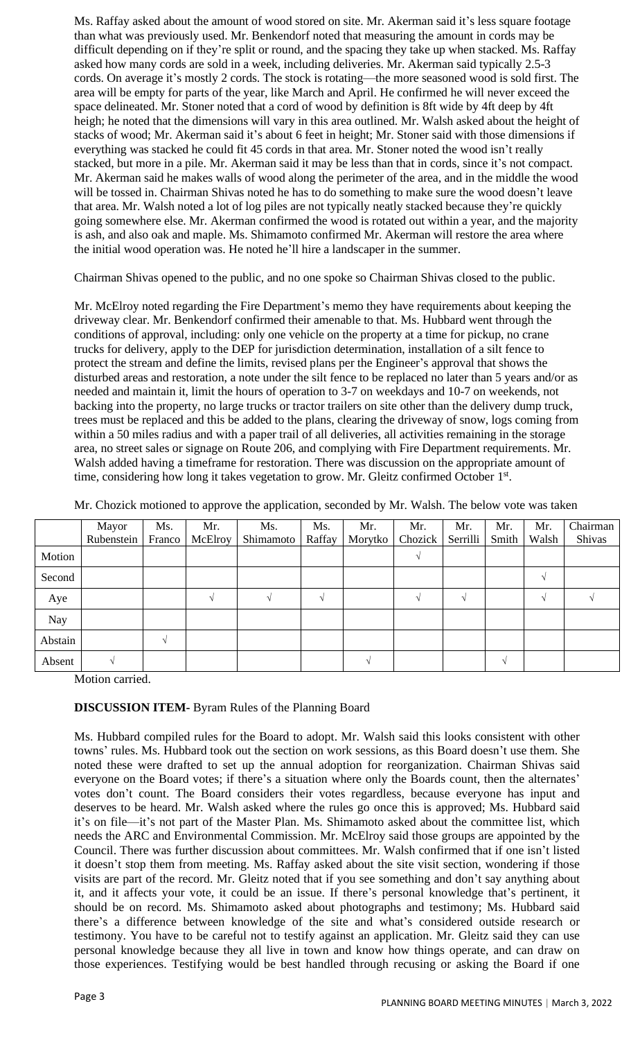Ms. Raffay asked about the amount of wood stored on site. Mr. Akerman said it's less square footage than what was previously used. Mr. Benkendorf noted that measuring the amount in cords may be difficult depending on if they're split or round, and the spacing they take up when stacked. Ms. Raffay asked how many cords are sold in a week, including deliveries. Mr. Akerman said typically 2.5-3 cords. On average it's mostly 2 cords. The stock is rotating—the more seasoned wood is sold first. The area will be empty for parts of the year, like March and April. He confirmed he will never exceed the space delineated. Mr. Stoner noted that a cord of wood by definition is 8ft wide by 4ft deep by 4ft heigh; he noted that the dimensions will vary in this area outlined. Mr. Walsh asked about the height of stacks of wood; Mr. Akerman said it's about 6 feet in height; Mr. Stoner said with those dimensions if everything was stacked he could fit 45 cords in that area. Mr. Stoner noted the wood isn't really stacked, but more in a pile. Mr. Akerman said it may be less than that in cords, since it's not compact. Mr. Akerman said he makes walls of wood along the perimeter of the area, and in the middle the wood will be tossed in. Chairman Shivas noted he has to do something to make sure the wood doesn't leave that area. Mr. Walsh noted a lot of log piles are not typically neatly stacked because they're quickly going somewhere else. Mr. Akerman confirmed the wood is rotated out within a year, and the majority is ash, and also oak and maple. Ms. Shimamoto confirmed Mr. Akerman will restore the area where the initial wood operation was. He noted he'll hire a landscaper in the summer.

Chairman Shivas opened to the public, and no one spoke so Chairman Shivas closed to the public.

Mr. McElroy noted regarding the Fire Department's memo they have requirements about keeping the driveway clear. Mr. Benkendorf confirmed their amenable to that. Ms. Hubbard went through the conditions of approval, including: only one vehicle on the property at a time for pickup, no crane trucks for delivery, apply to the DEP for jurisdiction determination, installation of a silt fence to protect the stream and define the limits, revised plans per the Engineer's approval that shows the disturbed areas and restoration, a note under the silt fence to be replaced no later than 5 years and/or as needed and maintain it, limit the hours of operation to 3-7 on weekdays and 10-7 on weekends, not backing into the property, no large trucks or tractor trailers on site other than the delivery dump truck, trees must be replaced and this be added to the plans, clearing the driveway of snow, logs coming from within a 50 miles radius and with a paper trail of all deliveries, all activities remaining in the storage area, no street sales or signage on Route 206, and complying with Fire Department requirements. Mr. Walsh added having a timeframe for restoration. There was discussion on the appropriate amount of time, considering how long it takes vegetation to grow. Mr. Gleitz confirmed October 1st.

|         | Mayor      | Ms.        | Mr.     | Ms.       | Ms.           | Mr.     | Mr.     | Mr.      | Mr.               | Mr.   | Chairman |
|---------|------------|------------|---------|-----------|---------------|---------|---------|----------|-------------------|-------|----------|
|         | Rubenstein | Franco     | McElroy | Shimamoto | Raffay        | Morytko | Chozick | Serrilli | Smith             | Walsh | Shivas   |
| Motion  |            |            |         |           |               |         |         |          |                   |       |          |
| Second  |            |            |         |           |               |         |         |          |                   |       |          |
| Aye     |            |            |         |           | $\mathcal{L}$ |         |         | $\sim$   |                   |       |          |
| Nay     |            |            |         |           |               |         |         |          |                   |       |          |
| Abstain |            | $\sqrt{ }$ |         |           |               |         |         |          |                   |       |          |
| Absent  |            |            |         |           |               | $\sim$  |         |          | $\mathbf \Lambda$ |       |          |

Mr. Chozick motioned to approve the application, seconded by Mr. Walsh. The below vote was taken

Motion carried.

### **DISCUSSION ITEM-** Byram Rules of the Planning Board

Ms. Hubbard compiled rules for the Board to adopt. Mr. Walsh said this looks consistent with other towns' rules. Ms. Hubbard took out the section on work sessions, as this Board doesn't use them. She noted these were drafted to set up the annual adoption for reorganization. Chairman Shivas said everyone on the Board votes; if there's a situation where only the Boards count, then the alternates' votes don't count. The Board considers their votes regardless, because everyone has input and deserves to be heard. Mr. Walsh asked where the rules go once this is approved; Ms. Hubbard said it's on file—it's not part of the Master Plan. Ms. Shimamoto asked about the committee list, which needs the ARC and Environmental Commission. Mr. McElroy said those groups are appointed by the Council. There was further discussion about committees. Mr. Walsh confirmed that if one isn't listed it doesn't stop them from meeting. Ms. Raffay asked about the site visit section, wondering if those visits are part of the record. Mr. Gleitz noted that if you see something and don't say anything about it, and it affects your vote, it could be an issue. If there's personal knowledge that's pertinent, it should be on record. Ms. Shimamoto asked about photographs and testimony; Ms. Hubbard said there's a difference between knowledge of the site and what's considered outside research or testimony. You have to be careful not to testify against an application. Mr. Gleitz said they can use personal knowledge because they all live in town and know how things operate, and can draw on those experiences. Testifying would be best handled through recusing or asking the Board if one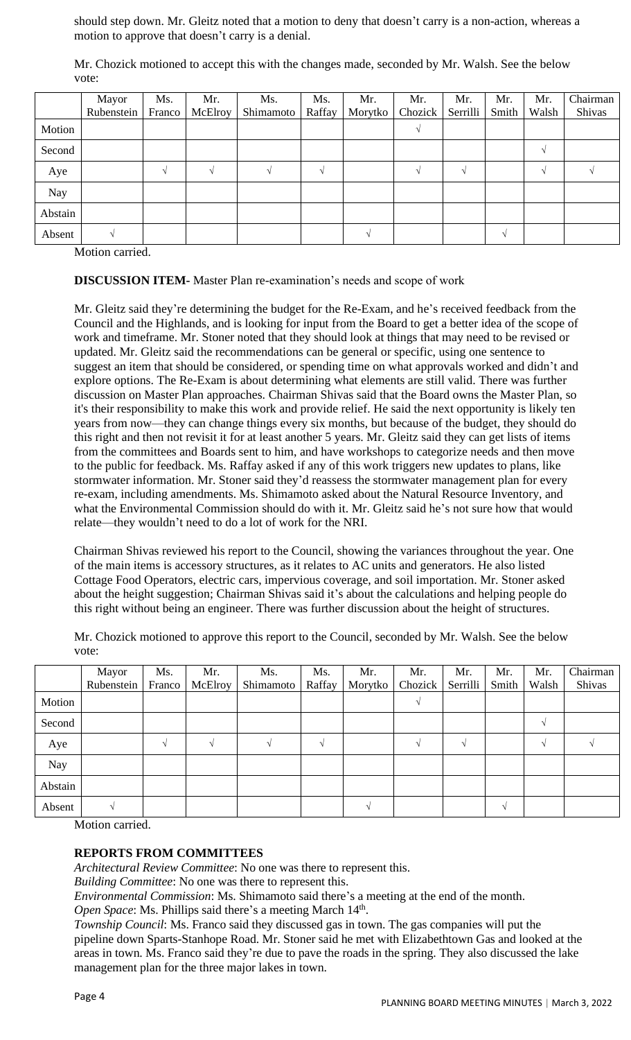should step down. Mr. Gleitz noted that a motion to deny that doesn't carry is a non-action, whereas a motion to approve that doesn't carry is a denial.

Mr. Chozick motioned to accept this with the changes made, seconded by Mr. Walsh. See the below vote:

|         | Mayor      | Ms.    | Mr.            | Ms.       | Ms.    | Mr.     | Mr.     | Mr.      | Mr.   | Mr.   | Chairman |
|---------|------------|--------|----------------|-----------|--------|---------|---------|----------|-------|-------|----------|
|         | Rubenstein | Franco | <b>McElroy</b> | Shimamoto | Raffay | Morytko | Chozick | Serrilli | Smith | Walsh | Shivas   |
| Motion  |            |        |                |           |        |         |         |          |       |       |          |
| Second  |            |        |                |           |        |         |         |          |       |       |          |
| Aye     |            |        |                |           |        |         |         |          |       |       |          |
| Nay     |            |        |                |           |        |         |         |          |       |       |          |
| Abstain |            |        |                |           |        |         |         |          |       |       |          |
| Absent  |            |        |                |           |        |         |         |          |       |       |          |

Motion carried.

**DISCUSSION ITEM-** Master Plan re-examination's needs and scope of work

Mr. Gleitz said they're determining the budget for the Re-Exam, and he's received feedback from the Council and the Highlands, and is looking for input from the Board to get a better idea of the scope of work and timeframe. Mr. Stoner noted that they should look at things that may need to be revised or updated. Mr. Gleitz said the recommendations can be general or specific, using one sentence to suggest an item that should be considered, or spending time on what approvals worked and didn't and explore options. The Re-Exam is about determining what elements are still valid. There was further discussion on Master Plan approaches. Chairman Shivas said that the Board owns the Master Plan, so it's their responsibility to make this work and provide relief. He said the next opportunity is likely ten years from now—they can change things every six months, but because of the budget, they should do this right and then not revisit it for at least another 5 years. Mr. Gleitz said they can get lists of items from the committees and Boards sent to him, and have workshops to categorize needs and then move to the public for feedback. Ms. Raffay asked if any of this work triggers new updates to plans, like stormwater information. Mr. Stoner said they'd reassess the stormwater management plan for every re-exam, including amendments. Ms. Shimamoto asked about the Natural Resource Inventory, and what the Environmental Commission should do with it. Mr. Gleitz said he's not sure how that would relate—they wouldn't need to do a lot of work for the NRI.

Chairman Shivas reviewed his report to the Council, showing the variances throughout the year. One of the main items is accessory structures, as it relates to AC units and generators. He also listed Cottage Food Operators, electric cars, impervious coverage, and soil importation. Mr. Stoner asked about the height suggestion; Chairman Shivas said it's about the calculations and helping people do this right without being an engineer. There was further discussion about the height of structures.

Mr. Chozick motioned to approve this report to the Council, seconded by Mr. Walsh. See the below vote:

|            | Mayor      | Ms.    | Mr.     | Ms.       | Ms.    | Mr.     | Mr.     | Mr.      | Mr.   | Mr.   | Chairman |
|------------|------------|--------|---------|-----------|--------|---------|---------|----------|-------|-------|----------|
|            | Rubenstein | Franco | McElroy | Shimamoto | Raffay | Morytko | Chozick | Serrilli | Smith | Walsh | Shivas   |
| Motion     |            |        |         |           |        |         |         |          |       |       |          |
| Second     |            |        |         |           |        |         |         |          |       |       |          |
| Aye        |            |        |         |           |        |         |         |          |       |       |          |
| <b>Nay</b> |            |        |         |           |        |         |         |          |       |       |          |
| Abstain    |            |        |         |           |        |         |         |          |       |       |          |
| Absent     |            |        |         |           |        |         |         |          |       |       |          |

Motion carried.

### **REPORTS FROM COMMITTEES**

*Architectural Review Committee*: No one was there to represent this.

*Building Committee*: No one was there to represent this.

*Environmental Commission*: Ms. Shimamoto said there's a meeting at the end of the month.

Open Space: Ms. Phillips said there's a meeting March 14<sup>th</sup>.

*Township Council*: Ms. Franco said they discussed gas in town. The gas companies will put the pipeline down Sparts-Stanhope Road. Mr. Stoner said he met with Elizabethtown Gas and looked at the areas in town. Ms. Franco said they're due to pave the roads in the spring. They also discussed the lake management plan for the three major lakes in town.